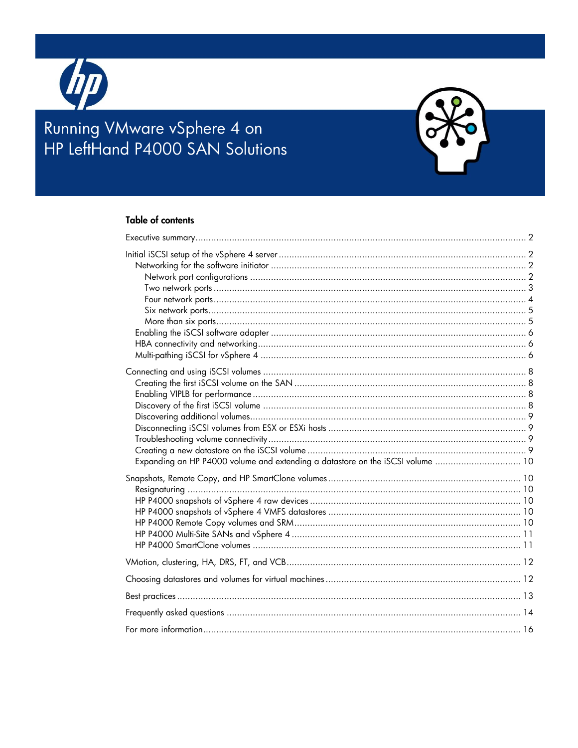

# Running VMware vSphere 4 on<br>HP LeftHand P4000 SAN Solutions



| Expanding an HP P4000 volume and extending a datastore on the iSCSI volume  10 |  |
|--------------------------------------------------------------------------------|--|
|                                                                                |  |
|                                                                                |  |
|                                                                                |  |
|                                                                                |  |
|                                                                                |  |
|                                                                                |  |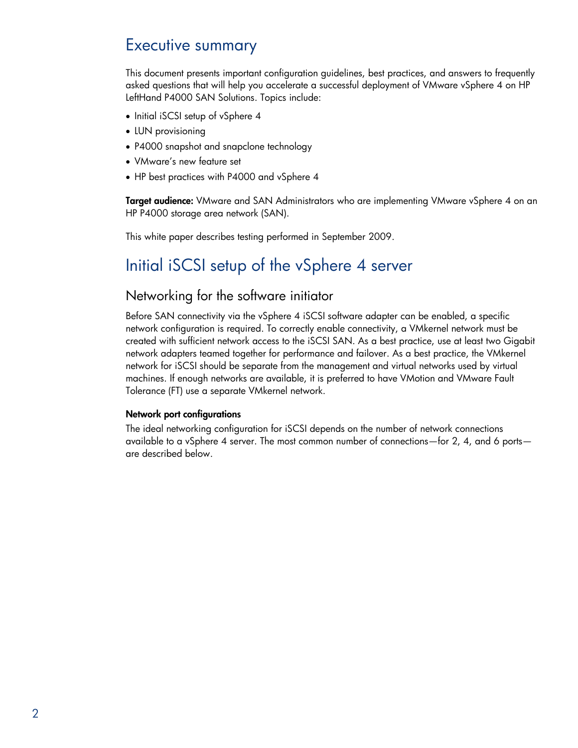# <span id="page-1-0"></span>Executive summary

This document presents important configuration guidelines, best practices, and answers to frequently asked questions that will help you accelerate a successful deployment of VMware vSphere 4 on HP LeftHand P4000 SAN Solutions. Topics include:

- Initial iSCSI setup of vSphere 4
- LUN provisioning
- P4000 snapshot and snapclone technology
- VMware's new feature set
- HP best practices with P4000 and vSphere 4

**Target audience:** VMware and SAN Administrators who are implementing VMware vSphere 4 on an HP P4000 storage area network (SAN).

This white paper describes testing performed in September 2009.

# <span id="page-1-1"></span>Initial iSCSI setup of the vSphere 4 server

#### <span id="page-1-2"></span>Networking for the software initiator

Before SAN connectivity via the vSphere 4 iSCSI software adapter can be enabled, a specific network configuration is required. To correctly enable connectivity, a VMkernel network must be created with sufficient network access to the iSCSI SAN. As a best practice, use at least two Gigabit network adapters teamed together for performance and failover. As a best practice, the VMkernel network for iSCSI should be separate from the management and virtual networks used by virtual machines. If enough networks are available, it is preferred to have VMotion and VMware Fault Tolerance (FT) use a separate VMkernel network.

#### <span id="page-1-3"></span>Network port configurations

The ideal networking configuration for iSCSI depends on the number of network connections available to a vSphere 4 server. The most common number of connections—for 2, 4, and 6 ports are described below.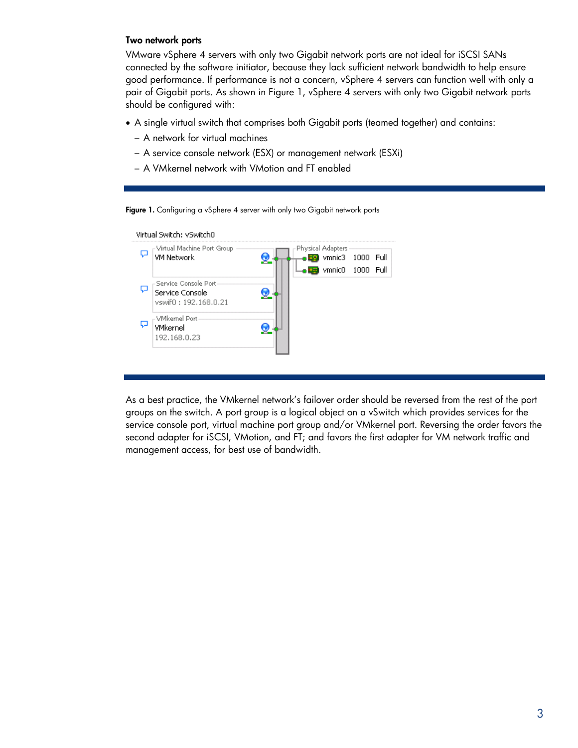#### <span id="page-2-0"></span>Two network ports

VMware vSphere 4 servers with only two Gigabit network ports are not ideal for iSCSI SANs connected by the software initiator, because they lack sufficient network bandwidth to help ensure good performance. If performance is not a concern, vSphere 4 servers can function well with only a pair of Gigabit ports. As shown in [Figure 1,](#page-2-1) vSphere 4 servers with only two Gigabit network ports should be configured with:

- A single virtual switch that comprises both Gigabit ports (teamed together) and contains:
	- A network for virtual machines
	- A service console network (ESX) or management network (ESXi)
	- A VMkernel network with VMotion and FT enabled

<span id="page-2-1"></span>Figure 1. Configuring a vSphere 4 server with only two Gigabit network ports



As a best practice, the VMkernel network's failover order should be reversed from the rest of the port groups on the switch. A port group is a logical object on a vSwitch which provides services for the service console port, virtual machine port group and/or VMkernel port. Reversing the order favors the second adapter for iSCSI, VMotion, and FT; and favors the first adapter for VM network traffic and management access, for best use of bandwidth.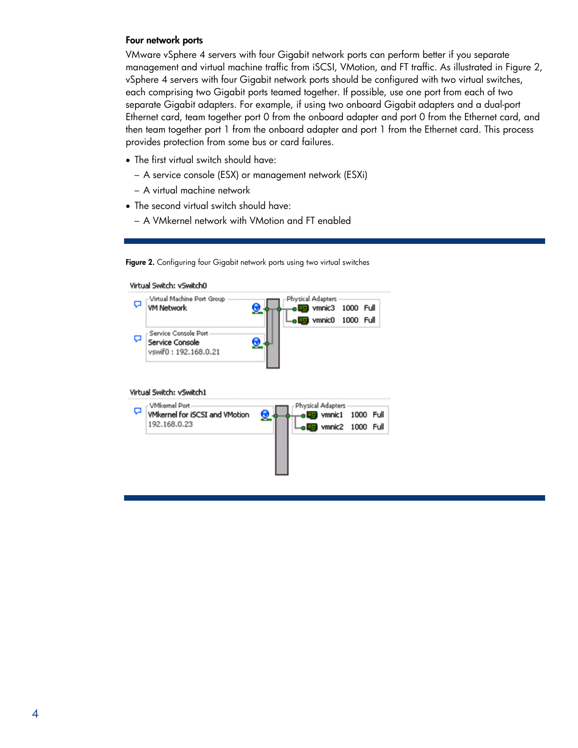#### <span id="page-3-0"></span>Four network ports

VMware vSphere 4 servers with four Gigabit network ports can perform better if you separate management and virtual machine traffic from iSCSI, VMotion, and FT traffic. As illustrated in [Figure 2,](#page-3-1) vSphere 4 servers with four Gigabit network ports should be configured with two virtual switches, each comprising two Gigabit ports teamed together. If possible, use one port from each of two separate Gigabit adapters. For example, if using two onboard Gigabit adapters and a dual-port Ethernet card, team together port 0 from the onboard adapter and port 0 from the Ethernet card, and then team together port 1 from the onboard adapter and port 1 from the Ethernet card. This process provides protection from some bus or card failures.

- The first virtual switch should have:
	- A service console (ESX) or management network (ESXi)
	- A virtual machine network
- The second virtual switch should have:
	- A VMkernel network with VMotion and FT enabled

<span id="page-3-1"></span>Figure 2. Configuring four Gigabit network ports using two virtual switches

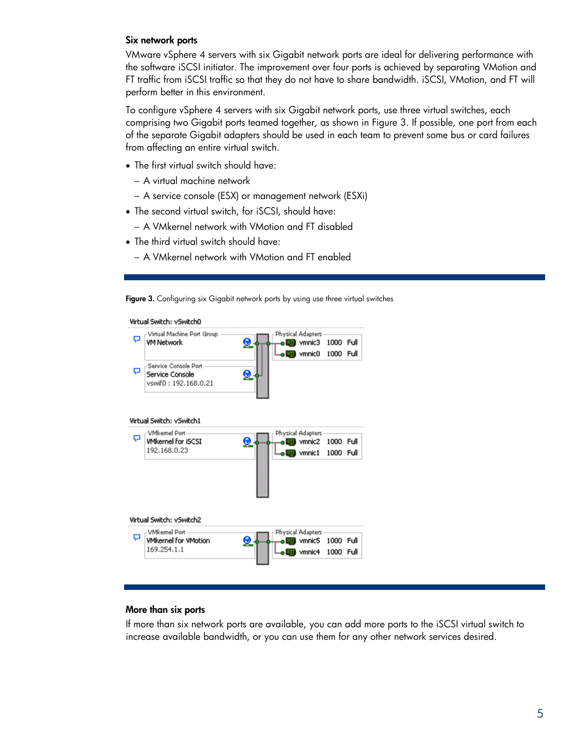#### <span id="page-4-0"></span>Six network ports

VMware vSphere 4 servers with six Gigabit network ports are ideal for delivering performance with the software iSCSI initiator. The improvement over four ports is achieved by separating VMotion and FT traffic from iSCSI traffic so that they do not have to share bandwidth. iSCSI, VMotion, and FT will perform better in this environment.

To configure vSphere 4 servers with six Gigabit network ports, use three virtual switches, each comprising two Gigabit ports teamed together, as shown in [Figure 3.](#page-4-2) If possible, one port from each of the separate Gigabit adapters should be used in each team to prevent some bus or card failures from affecting an entire virtual switch.

- The first virtual switch should have:
	- A virtual machine network
	- A service console (ESX) or management network (ESXi)
- The second virtual switch, for iSCSI, should have:
	- A VMkernel network with VMotion and FT disabled
- The third virtual switch should have:
	- A VMkernel network with VMotion and FT enabled

<span id="page-4-2"></span>Figure 3. Configuring six Gigabit network ports by using use three virtual switches

Virtual Switch: vSwitch0

| ۵<br>Q | -Virtual Machine Port Group<br><b>VM Network</b><br>Service Console Port<br>Service Console<br>vswif0: 192.168.0.21 | Physical Adapters<br><b>BR</b> vmnic3<br><b>U.S.</b> vmnic0 | 1000<br>1000 Full | Full |
|--------|---------------------------------------------------------------------------------------------------------------------|-------------------------------------------------------------|-------------------|------|
|        | Virtual Switch: vSwitch1                                                                                            |                                                             |                   |      |
| o      | - VMkernel Port-<br><b>VMkernel for iSCSI</b><br>192.168.0.23                                                       | Physical Adapters<br>wmnic2<br><b>us</b> vmnic1             | 1000<br>1000 Full | Full |
|        | Virtual Switch: vSwitch2                                                                                            |                                                             |                   |      |
| ۵      | - VMkernel Port-<br><b>VMkernel for VMotion</b>                                                                     | Physical Adapters<br>wmnic5                                 | 1000 Full         |      |
|        | 169.254.1.1                                                                                                         | <b>usi</b> vmnic4                                           | 1000              | Full |

#### <span id="page-4-1"></span>More than six ports

If more than six network ports are available, you can add more ports to the iSCSI virtual switch to increase available bandwidth, or you can use them for any other network services desired.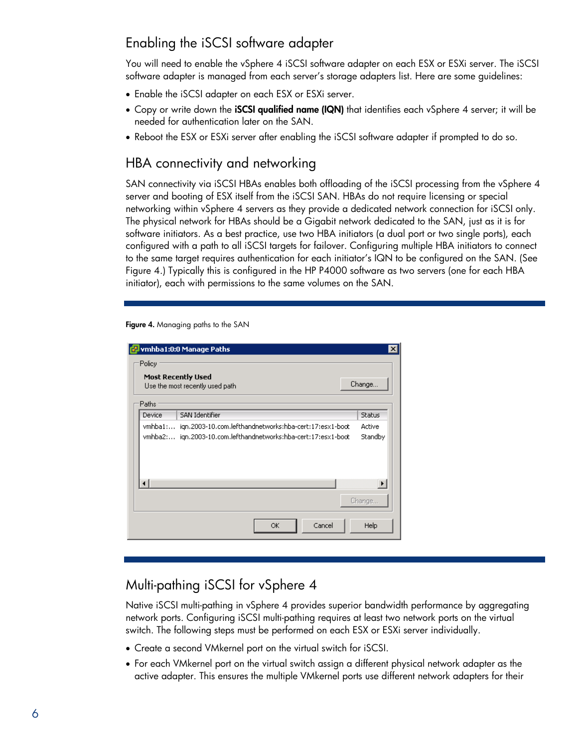# <span id="page-5-0"></span>Enabling the iSCSI software adapter

You will need to enable the vSphere 4 iSCSI software adapter on each ESX or ESXi server. The iSCSI software adapter is managed from each server's storage adapters list. Here are some guidelines:

- Enable the iSCSI adapter on each ESX or ESXi server.
- Copy or write down the **iSCSI qualified name (IQN)** that identifies each vSphere 4 server; it will be needed for authentication later on the SAN.
- Reboot the ESX or ESXi server after enabling the iSCSI software adapter if prompted to do so.

### <span id="page-5-1"></span>HBA connectivity and networking

SAN connectivity via iSCSI HBAs enables both offloading of the iSCSI processing from the vSphere 4 server and booting of ESX itself from the iSCSI SAN. HBAs do not require licensing or special networking within vSphere 4 servers as they provide a dedicated network connection for iSCSI only. The physical network for HBAs should be a Gigabit network dedicated to the SAN, just as it is for software initiators. As a best practice, use two HBA initiators (a dual port or two single ports), each configured with a path to all iSCSI targets for failover. Configuring multiple HBA initiators to connect to the same target requires authentication for each initiator's IQN to be configured on the SAN. (See [Figure 4.](#page-5-3)) Typically this is configured in the HP P4000 software as two servers (one for each HBA initiator), each with permissions to the same volumes on the SAN.

<span id="page-5-3"></span>Figure 4. Managing paths to the SAN

|         | vmhba1:0:0 Manage Paths                                        | $\vert x \vert$       |
|---------|----------------------------------------------------------------|-----------------------|
| Policy  |                                                                |                       |
|         | <b>Most Recently Used</b><br>Use the most recently used path   | Change                |
| Paths   |                                                                |                       |
| Device  | <b>SAN Identifier</b>                                          | <b>Status</b>         |
| vmhba1: | ign.2003-10.com.lefthandnetworks:hba-cert:17:esx1-boot         | Active                |
|         | vmhba2: ign.2003-10.com.lefthandnetworks:hba-cert:17:esx1-boot | Standby               |
|         |                                                                | $\blacktriangleright$ |
|         |                                                                | Change                |
|         | Cancel<br>ОК                                                   | Help                  |

### <span id="page-5-2"></span>Multi-pathing iSCSI for vSphere 4

Native iSCSI multi-pathing in vSphere 4 provides superior bandwidth performance by aggregating network ports. Configuring iSCSI multi-pathing requires at least two network ports on the virtual switch. The following steps must be performed on each ESX or ESXi server individually.

- Create a second VMkernel port on the virtual switch for iSCSI.
- For each VMkernel port on the virtual switch assign a different physical network adapter as the active adapter. This ensures the multiple VMkernel ports use different network adapters for their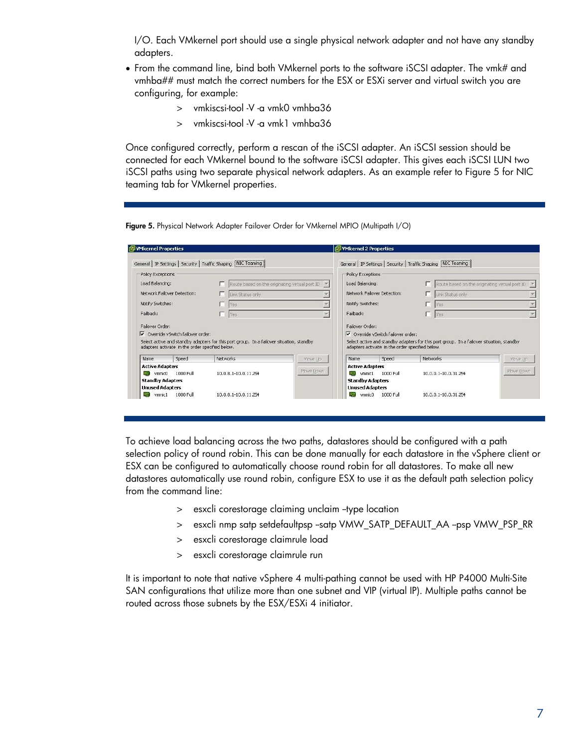I/O. Each VMkernel port should use a single physical network adapter and not have any standby adapters.

- From the command line, bind both VMkernel ports to the software iSCSI adapter. The vmk# and vmhba## must match the correct numbers for the ESX or ESXi server and virtual switch you are configuring, for example:
	- > vmkiscsi-tool -V -a vmk0 vmhba36
	- > vmkiscsi-tool -V -a vmk1 vmhba36

Once configured correctly, perform a rescan of the iSCSI adapter. An iSCSI session should be connected for each VMkernel bound to the software iSCSI adapter. This gives each iSCSI LUN two iSCSI paths using two separate physical network adapters. As an example refer to Figure 5 for NIC teaming tab for VMkernel properties.

Figure 5. Physical Network Adapter Failover Order for VMkernel MPIO (Multipath I/O)

|                             | <b>问Whernel Properties</b>                      |                                                                                          |           | <b>WHITE</b> VMkernel 2 Properties              |             |                                                                                          |           |
|-----------------------------|-------------------------------------------------|------------------------------------------------------------------------------------------|-----------|-------------------------------------------------|-------------|------------------------------------------------------------------------------------------|-----------|
|                             |                                                 | General   IP Settings   Security   Traffic Shaping   NIC Teaming                         |           |                                                 |             | General   IP Settings   Security   Traffic Shaping   NIC Teaming                         |           |
| Policy Exceptions           |                                                 |                                                                                          |           | Policy Exceptions                               |             |                                                                                          |           |
| Load Balancing:             |                                                 | Route based on the originating virtual port ID -                                         |           | Load Balancing:                                 |             | Route based on the originating virtual port ID $\rightarrow$                             |           |
| Network Failover Detection: |                                                 | Link Status only                                                                         |           | Network Failover Detection:                     |             | Link Status only                                                                         |           |
| Notify Switches:            |                                                 | Yes                                                                                      |           | Notify Switches:                                |             | п<br><b>Yes</b>                                                                          |           |
|                             |                                                 | Yes                                                                                      |           | Failback:                                       |             | n<br><b>Yes</b>                                                                          |           |
| Failback:                   |                                                 |                                                                                          |           |                                                 |             |                                                                                          |           |
| Failover Order:             |                                                 |                                                                                          |           | Failover Order:                                 |             |                                                                                          |           |
|                             | $\nabla$ Override vSwitch failover order:       |                                                                                          |           | Override vSwitch failover order:                |             |                                                                                          |           |
|                             | adapters activate in the order specified below. | Select active and standby adapters for this port group. In a failover situation, standby |           | adapters activate in the order specified below. |             | Select active and standby adapters for this port group. In a failover situation, standby |           |
| Name.                       | Speed                                           | Networks                                                                                 | Move Up   | Name.                                           | Speed       | Networks                                                                                 | Move Up   |
| <b>Active Adapters</b>      |                                                 |                                                                                          |           | <b>Active Adapters</b>                          |             |                                                                                          |           |
| vmnic0<br>ΠĢ                | 1000 Full                                       | 10.0.8.1-10.0.11.254                                                                     | Move Down | vmnic1<br>同盟]                                   | $1000$ Full | 10.0.0.1-10.0.31.254                                                                     | Move Down |
| <b>Standby Adapters</b>     |                                                 |                                                                                          |           | <b>Standby Adapters</b>                         |             |                                                                                          |           |
| <b>Unused Adapters</b>      |                                                 |                                                                                          |           | <b>Unused Adapters</b>                          |             |                                                                                          |           |

To achieve load balancing across the two paths, datastores should be configured with a path selection policy of round robin. This can be done manually for each datastore in the vSphere client or ESX can be configured to automatically choose round robin for all datastores. To make all new datastores automatically use round robin, configure ESX to use it as the default path selection policy from the command line:

- > esxcli corestorage claiming unclaim --type location
- > esxcli nmp satp setdefaultpsp --satp VMW\_SATP\_DEFAULT\_AA --psp VMW\_PSP\_RR
- > esxcli corestorage claimrule load
- > esxcli corestorage claimrule run

It is important to note that native vSphere 4 multi-pathing cannot be used with HP P4000 Multi-Site SAN configurations that utilize more than one subnet and VIP (virtual IP). Multiple paths cannot be routed across those subnets by the ESX/ESXi 4 initiator.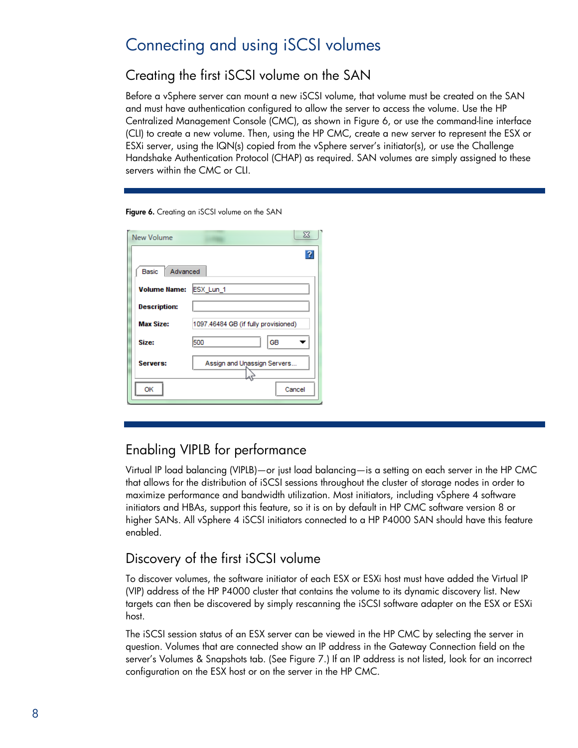# <span id="page-7-0"></span>Connecting and using iSCSI volumes

## <span id="page-7-1"></span>Creating the first iSCSI volume on the SAN

Before a vSphere server can mount a new iSCSI volume, that volume must be created on the SAN and must have authentication configured to allow the server to access the volume. Use the HP Centralized Management Console (CMC), as shown in [Figure 6,](#page-7-4) or use the command-line interface (CLI) to create a new volume. Then, using the HP CMC, create a new server to represent the ESX or ESXi server, using the IQN(s) copied from the vSphere server's initiator(s), or use the Challenge Handshake Authentication Protocol (CHAP) as required. SAN volumes are simply assigned to these servers within the CMC or CLI.

#### <span id="page-7-4"></span>Figure 6. Creating an iSCSI volume on the SAN

| New Volume               | $\Sigma$                             |
|--------------------------|--------------------------------------|
| Advanced<br><b>Basic</b> |                                      |
| <b>Volume Name:</b>      | ESX_Lun_1                            |
| <b>Description:</b>      |                                      |
| <b>Max Size:</b>         | 1097.46484 GB (if fully provisioned) |
| Size:                    | GB<br>500                            |
| Servers:                 | Assign and Unassign Servers          |
| OK                       | Cancel                               |

## <span id="page-7-2"></span>Enabling VIPLB for performance

Virtual IP load balancing (VIPLB)—or just load balancing—is a setting on each server in the HP CMC that allows for the distribution of iSCSI sessions throughout the cluster of storage nodes in order to maximize performance and bandwidth utilization. Most initiators, including vSphere 4 software initiators and HBAs, support this feature, so it is on by default in HP CMC software version 8 or higher SANs. All vSphere 4 iSCSI initiators connected to a HP P4000 SAN should have this feature enabled.

## <span id="page-7-3"></span>Discovery of the first iSCSI volume

To discover volumes, the software initiator of each ESX or ESXi host must have added the Virtual IP (VIP) address of the HP P4000 cluster that contains the volume to its dynamic discovery list. New targets can then be discovered by simply rescanning the iSCSI software adapter on the ESX or ESXi host.

The iSCSI session status of an ESX server can be viewed in the HP CMC by selecting the server in question. Volumes that are connected show an IP address in the Gateway Connection field on the server's Volumes & Snapshots tab. (See [Figure 7.](#page-8-4)) If an IP address is not listed, look for an incorrect configuration on the ESX host or on the server in the HP CMC.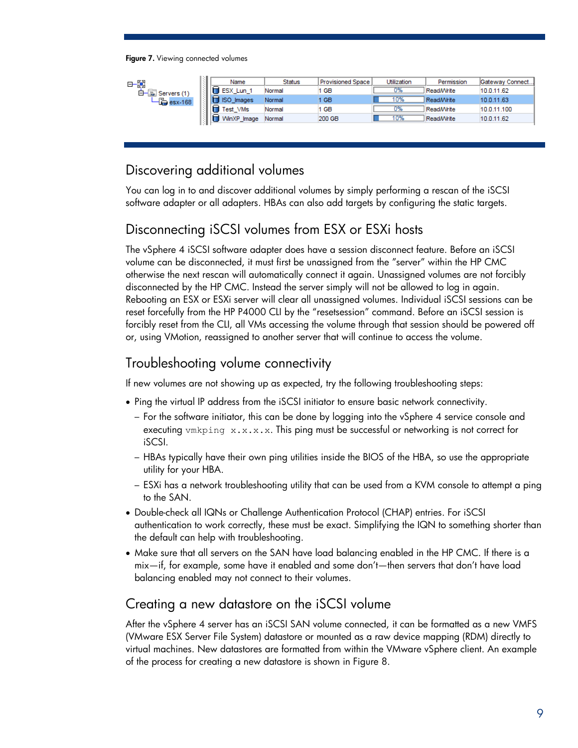<span id="page-8-4"></span>Figure 7. Viewing connected volumes

| 日段                     | Name            | <b>Status</b> | Provisioned Space | Utilization | Permission        | Gateway Connect |
|------------------------|-----------------|---------------|-------------------|-------------|-------------------|-----------------|
| ₿−<br>Servers (1)<br>酉 | ∈<br>ESX Lun 1  | Normal        | 1 GB              | 0%          | <b>Read/Write</b> | 10.0.11.62      |
| $E$ esx-168            | e<br>ISO Images | Normal        | 1 GB              | 10%         | <b>Read/Write</b> | 10.0.11.63      |
|                        | Test VMs        | Normal        | 1 GB              | 0%          | <b>Read/Write</b> | 10.0.11.100     |
|                        | WinXP Image     | Normal        | 200 GB            | 10%         | <b>Read/Write</b> | 10.0.11.62      |
|                        |                 |               |                   |             |                   |                 |

# <span id="page-8-0"></span>Discovering additional volumes

You can log in to and discover additional volumes by simply performing a rescan of the iSCSI software adapter or all adapters. HBAs can also add targets by configuring the static targets.

# <span id="page-8-1"></span>Disconnecting iSCSI volumes from ESX or ESXi hosts

The vSphere 4 iSCSI software adapter does have a session disconnect feature. Before an iSCSI volume can be disconnected, it must first be unassigned from the "server" within the HP CMC otherwise the next rescan will automatically connect it again. Unassigned volumes are not forcibly disconnected by the HP CMC. Instead the server simply will not be allowed to log in again. Rebooting an ESX or ESXi server will clear all unassigned volumes. Individual iSCSI sessions can be reset forcefully from the HP P4000 CLI by the "resetsession" command. Before an iSCSI session is forcibly reset from the CLI, all VMs accessing the volume through that session should be powered off or, using VMotion, reassigned to another server that will continue to access the volume.

# <span id="page-8-2"></span>Troubleshooting volume connectivity

If new volumes are not showing up as expected, try the following troubleshooting steps:

- Ping the virtual IP address from the iSCSI initiator to ensure basic network connectivity.
	- For the software initiator, this can be done by logging into the vSphere 4 service console and executing vmkping x.x.x.x. This ping must be successful or networking is not correct for iSCSI.
	- HBAs typically have their own ping utilities inside the BIOS of the HBA, so use the appropriate utility for your HBA.
	- ESXi has a network troubleshooting utility that can be used from a KVM console to attempt a ping to the SAN.
- Double-check all IQNs or Challenge Authentication Protocol (CHAP) entries. For iSCSI authentication to work correctly, these must be exact. Simplifying the IQN to something shorter than the default can help with troubleshooting.
- Make sure that all servers on the SAN have load balancing enabled in the HP CMC. If there is a mix—if, for example, some have it enabled and some don't—then servers that don't have load balancing enabled may not connect to their volumes.

# <span id="page-8-3"></span>Creating a new datastore on the iSCSI volume

After the vSphere 4 server has an iSCSI SAN volume connected, it can be formatted as a new VMFS (VMware ESX Server File System) datastore or mounted as a raw device mapping (RDM) directly to virtual machines. New datastores are formatted from within the VMware vSphere client. An example of the process for creating a new datastore is shown in Figure 8.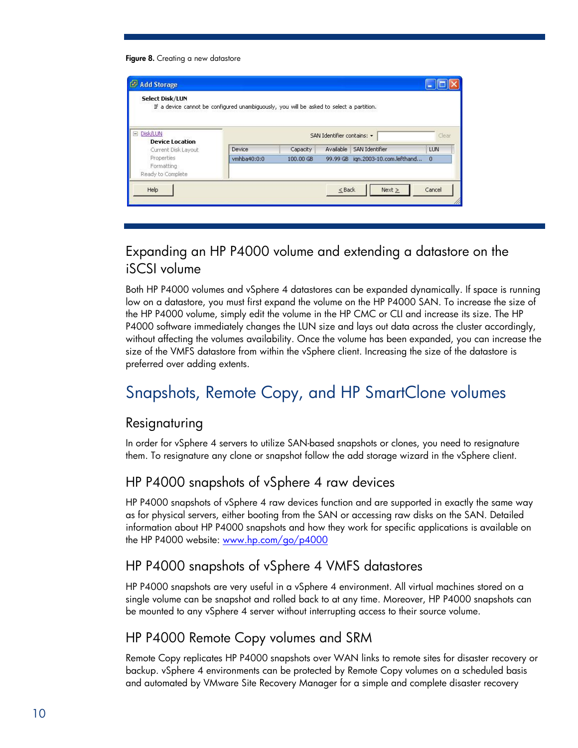#### Figure 8. Creating a new datastore

| Select Disk/LUN                               | If a device cannot be configured unambiguously, you will be asked to select a partition. |           |                            |                          |          |
|-----------------------------------------------|------------------------------------------------------------------------------------------|-----------|----------------------------|--------------------------|----------|
| <b>El Disk/LUN</b>                            |                                                                                          |           | SAN Identifier contains: - |                          | Clear    |
| <b>Device Location</b><br>Current Disk Layout | Device                                                                                   | Capacity  | Available                  | <b>SAN Identifier</b>    | LUN      |
| Properties<br>Formatting                      | vmhba40:0:0                                                                              | 100,00 GB | 99,99 GB                   | ign.2003-10.com.lefthand | $\Box$ 0 |
| Ready to Complete                             |                                                                                          |           |                            |                          |          |
| Help                                          |                                                                                          |           | $\leq$ Back                | Next >                   | Cancel   |

# <span id="page-9-0"></span>Expanding an HP P4000 volume and extending a datastore on the iSCSI volume

Both HP P4000 volumes and vSphere 4 datastores can be expanded dynamically. If space is running low on a datastore, you must first expand the volume on the HP P4000 SAN. To increase the size of the HP P4000 volume, simply edit the volume in the HP CMC or CLI and increase its size. The HP P4000 software immediately changes the LUN size and lays out data across the cluster accordingly, without affecting the volumes availability. Once the volume has been expanded, you can increase the size of the VMFS datastore from within the vSphere client. Increasing the size of the datastore is preferred over adding extents.

# <span id="page-9-1"></span>Snapshots, Remote Copy, and HP SmartClone volumes

#### <span id="page-9-2"></span>Resignaturing

In order for vSphere 4 servers to utilize SAN-based snapshots or clones, you need to resignature them. To resignature any clone or snapshot follow the add storage wizard in the vSphere client.

## <span id="page-9-3"></span>HP P4000 snapshots of vSphere 4 raw devices

HP P4000 snapshots of vSphere 4 raw devices function and are supported in exactly the same way as for physical servers, either booting from the SAN or accessing raw disks on the SAN. Detailed information about HP P4000 snapshots and how they work for specific applications is available on the HP P4000 website: [www.hp.com/go/p4000](http://www.hp.com/go/p4000)

## <span id="page-9-4"></span>HP P4000 snapshots of vSphere 4 VMFS datastores

HP P4000 snapshots are very useful in a vSphere 4 environment. All virtual machines stored on a single volume can be snapshot and rolled back to at any time. Moreover, HP P4000 snapshots can be mounted to any vSphere 4 server without interrupting access to their source volume.

# <span id="page-9-5"></span>HP P4000 Remote Copy volumes and SRM

Remote Copy replicates HP P4000 snapshots over WAN links to remote sites for disaster recovery or backup. vSphere 4 environments can be protected by Remote Copy volumes on a scheduled basis and automated by VMware Site Recovery Manager for a simple and complete disaster recovery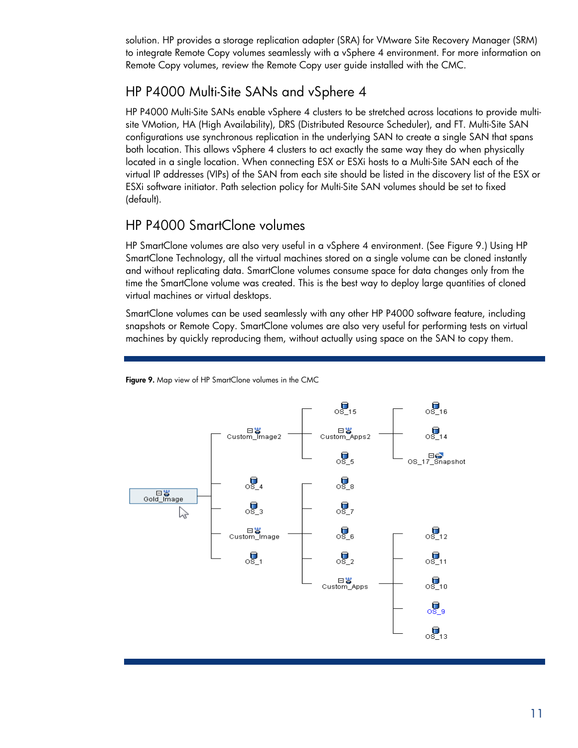solution. HP provides a storage replication adapter (SRA) for VMware Site Recovery Manager (SRM) to integrate Remote Copy volumes seamlessly with a vSphere 4 environment. For more information on Remote Copy volumes, review the Remote Copy user guide installed with the CMC.

## <span id="page-10-0"></span>HP P4000 Multi-Site SANs and vSphere 4

HP P4000 Multi-Site SANs enable vSphere 4 clusters to be stretched across locations to provide multisite VMotion, HA (High Availability), DRS (Distributed Resource Scheduler), and FT. Multi-Site SAN configurations use synchronous replication in the underlying SAN to create a single SAN that spans both location. This allows vSphere 4 clusters to act exactly the same way they do when physically located in a single location. When connecting ESX or ESXi hosts to a Multi-Site SAN each of the virtual IP addresses (VIPs) of the SAN from each site should be listed in the discovery list of the ESX or ESXi software initiator. Path selection policy for Multi-Site SAN volumes should be set to fixed (default).

# <span id="page-10-1"></span>HP P4000 SmartClone volumes

HP SmartClone volumes are also very useful in a vSphere 4 environment. (See [Figure 9.](#page-10-2)) Using HP SmartClone Technology, all the virtual machines stored on a single volume can be cloned instantly and without replicating data. SmartClone volumes consume space for data changes only from the time the SmartClone volume was created. This is the best way to deploy large quantities of cloned virtual machines or virtual desktops.

SmartClone volumes can be used seamlessly with any other HP P4000 software feature, including snapshots or Remote Copy. SmartClone volumes are also very useful for performing tests on virtual machines by quickly reproducing them, without actually using space on the SAN to copy them.



<span id="page-10-2"></span>Figure 9. Map view of HP SmartClone volumes in the CMC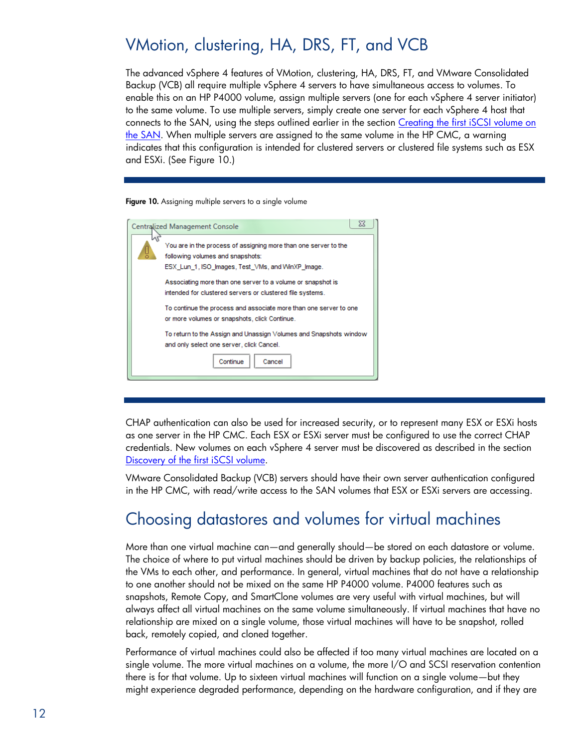# <span id="page-11-0"></span>VMotion, clustering, HA, DRS, FT, and VCB

The advanced vSphere 4 features of VMotion, clustering, HA, DRS, FT, and VMware Consolidated Backup (VCB) all require multiple vSphere 4 servers to have simultaneous access to volumes. To enable this on an HP P4000 volume, assign multiple servers (one for each vSphere 4 server initiator) to the same volume. To use multiple servers, simply create one server for each vSphere 4 host that connects to the SAN, using the steps outlined earlier in the section [Creating the first iSCSI volume on](#page-7-1)  [the SAN.](#page-7-1) When multiple servers are assigned to the same volume in the HP CMC, a warning indicates that this configuration is intended for clustered servers or clustered file systems such as ESX and ESXi. (See [Figure 10.](#page-11-2))

#### <span id="page-11-2"></span>Figure 10. Assigning multiple servers to a single volume

| 23<br><b>Centralized Management Console</b>                                                                                                              |
|----------------------------------------------------------------------------------------------------------------------------------------------------------|
| You are in the process of assigning more than one server to the<br>following volumes and snapshots:<br>ESX Lun 1, ISO Images, Test VMs, and WinXP Image. |
| Associating more than one server to a volume or snapshot is<br>intended for clustered servers or clustered file systems.                                 |
| To continue the process and associate more than one server to one<br>or more volumes or snapshots, click Continue.                                       |
| To return to the Assign and Unassign Volumes and Snapshots window<br>and only select one server, click Cancel.                                           |
| Continue<br>Cancel                                                                                                                                       |
|                                                                                                                                                          |

CHAP authentication can also be used for increased security, or to represent many ESX or ESXi hosts as one server in the HP CMC. Each ESX or ESXi server must be configured to use the correct CHAP credentials. New volumes on each vSphere 4 server must be discovered as described in the section [Discovery of the first iSCSI volume.](#page-7-3)

VMware Consolidated Backup (VCB) servers should have their own server authentication configured in the HP CMC, with read/write access to the SAN volumes that ESX or ESXi servers are accessing.

# <span id="page-11-1"></span>Choosing datastores and volumes for virtual machines

More than one virtual machine can—and generally should—be stored on each datastore or volume. The choice of where to put virtual machines should be driven by backup policies, the relationships of the VMs to each other, and performance. In general, virtual machines that do not have a relationship to one another should not be mixed on the same HP P4000 volume. P4000 features such as snapshots, Remote Copy, and SmartClone volumes are very useful with virtual machines, but will always affect all virtual machines on the same volume simultaneously. If virtual machines that have no relationship are mixed on a single volume, those virtual machines will have to be snapshot, rolled back, remotely copied, and cloned together.

Performance of virtual machines could also be affected if too many virtual machines are located on a single volume. The more virtual machines on a volume, the more I/O and SCSI reservation contention there is for that volume. Up to sixteen virtual machines will function on a single volume—but they might experience degraded performance, depending on the hardware configuration, and if they are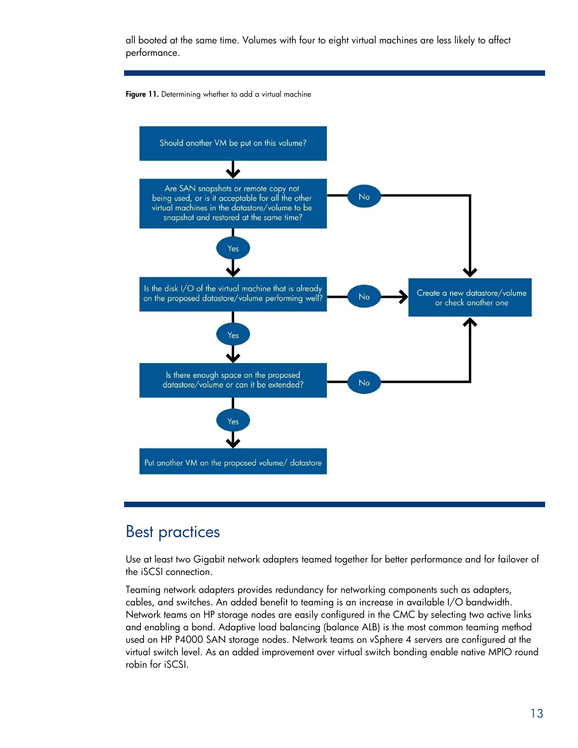all booted at the same time. Volumes with four to eight virtual machines are less likely to affect performance.





# <span id="page-12-0"></span>Best practices

Use at least two Gigabit network adapters teamed together for better performance and for failover of the iSCSI connection.

Teaming network adapters provides redundancy for networking components such as adapters, cables, and switches. An added benefit to teaming is an increase in available I/O bandwidth. Network teams on HP storage nodes are easily configured in the CMC by selecting two active links and enabling a bond. Adaptive load balancing (balance ALB) is the most common teaming method used on HP P4000 SAN storage nodes. Network teams on vSphere 4 servers are configured at the virtual switch level. As an added improvement over virtual switch bonding enable native MPIO round robin for iSCSI.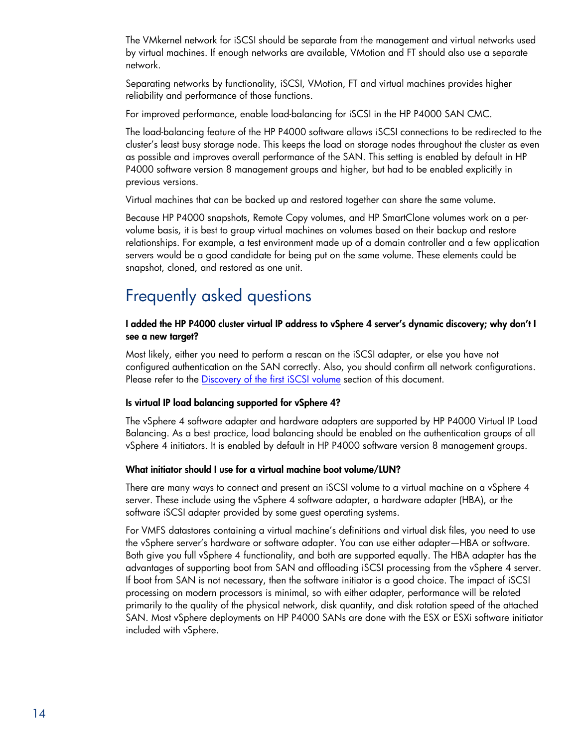The VMkernel network for iSCSI should be separate from the management and virtual networks used by virtual machines. If enough networks are available, VMotion and FT should also use a separate network.

Separating networks by functionality, iSCSI, VMotion, FT and virtual machines provides higher reliability and performance of those functions.

For improved performance, enable load-balancing for iSCSI in the HP P4000 SAN CMC.

The load-balancing feature of the HP P4000 software allows iSCSI connections to be redirected to the cluster's least busy storage node. This keeps the load on storage nodes throughout the cluster as even as possible and improves overall performance of the SAN. This setting is enabled by default in HP P4000 software version 8 management groups and higher, but had to be enabled explicitly in previous versions.

Virtual machines that can be backed up and restored together can share the same volume.

Because HP P4000 snapshots, Remote Copy volumes, and HP SmartClone volumes work on a pervolume basis, it is best to group virtual machines on volumes based on their backup and restore relationships. For example, a test environment made up of a domain controller and a few application servers would be a good candidate for being put on the same volume. These elements could be snapshot, cloned, and restored as one unit.

# <span id="page-13-0"></span>Frequently asked questions

#### I added the HP P4000 cluster virtual IP address to vSphere 4 server's dynamic discovery; why don't I see a new target?

Most likely, either you need to perform a rescan on the iSCSI adapter, or else you have not configured authentication on the SAN correctly. Also, you should confirm all network configurations. Please refer to the [Discovery of the first iSCSI volume](#page-7-3) section of this document.

#### Is virtual IP load balancing supported for vSphere 4?

The vSphere 4 software adapter and hardware adapters are supported by HP P4000 Virtual IP Load Balancing. As a best practice, load balancing should be enabled on the authentication groups of all vSphere 4 initiators. It is enabled by default in HP P4000 software version 8 management groups.

#### What initiator should I use for a virtual machine boot volume/LUN?

There are many ways to connect and present an iSCSI volume to a virtual machine on a vSphere 4 server. These include using the vSphere 4 software adapter, a hardware adapter (HBA), or the software iSCSI adapter provided by some guest operating systems.

For VMFS datastores containing a virtual machine's definitions and virtual disk files, you need to use the vSphere server's hardware or software adapter. You can use either adapter—HBA or software. Both give you full vSphere 4 functionality, and both are supported equally. The HBA adapter has the advantages of supporting boot from SAN and offloading iSCSI processing from the vSphere 4 server. If boot from SAN is not necessary, then the software initiator is a good choice. The impact of iSCSI processing on modern processors is minimal, so with either adapter, performance will be related primarily to the quality of the physical network, disk quantity, and disk rotation speed of the attached SAN. Most vSphere deployments on HP P4000 SANs are done with the ESX or ESXi software initiator included with vSphere.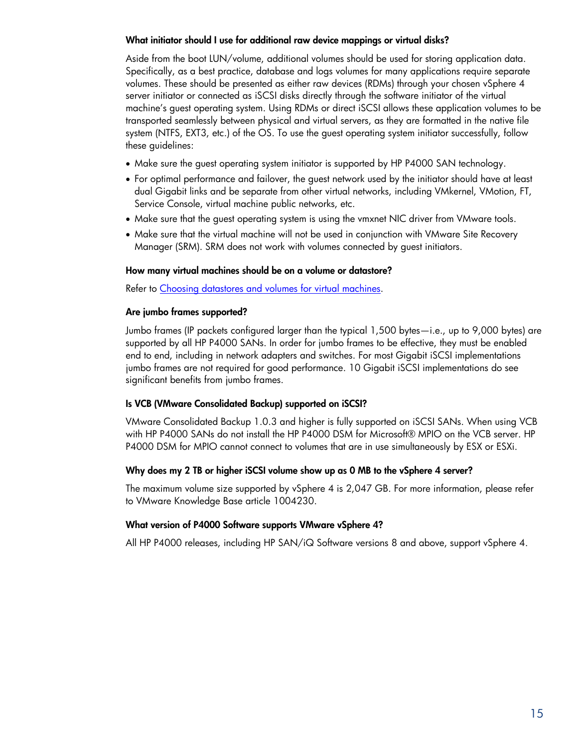#### What initiator should I use for additional raw device mappings or virtual disks?

Aside from the boot LUN/volume, additional volumes should be used for storing application data. Specifically, as a best practice, database and logs volumes for many applications require separate volumes. These should be presented as either raw devices (RDMs) through your chosen vSphere 4 server initiator or connected as iSCSI disks directly through the software initiator of the virtual machine's guest operating system. Using RDMs or direct iSCSI allows these application volumes to be transported seamlessly between physical and virtual servers, as they are formatted in the native file system (NTFS, EXT3, etc.) of the OS. To use the guest operating system initiator successfully, follow these guidelines:

- Make sure the guest operating system initiator is supported by HP P4000 SAN technology.
- For optimal performance and failover, the guest network used by the initiator should have at least dual Gigabit links and be separate from other virtual networks, including VMkernel, VMotion, FT, Service Console, virtual machine public networks, etc.
- Make sure that the guest operating system is using the vmxnet NIC driver from VMware tools.
- Make sure that the virtual machine will not be used in conjunction with VMware Site Recovery Manager (SRM). SRM does not work with volumes connected by guest initiators.

#### How many virtual machines should be on a volume or datastore?

Refer to [Choosing datastores and volumes for virtual machines.](#page-11-1)

#### Are jumbo frames supported?

Jumbo frames (IP packets configured larger than the typical 1,500 bytes—i.e., up to 9,000 bytes) are supported by all HP P4000 SANs. In order for jumbo frames to be effective, they must be enabled end to end, including in network adapters and switches. For most Gigabit iSCSI implementations jumbo frames are not required for good performance. 10 Gigabit iSCSI implementations do see significant benefits from jumbo frames.

#### Is VCB (VMware Consolidated Backup) supported on iSCSI?

VMware Consolidated Backup 1.0.3 and higher is fully supported on iSCSI SANs. When using VCB with HP P4000 SANs do not install the HP P4000 DSM for Microsoft® MPIO on the VCB server. HP P4000 DSM for MPIO cannot connect to volumes that are in use simultaneously by ESX or ESXi.

#### Why does my 2 TB or higher iSCSI volume show up as 0 MB to the vSphere 4 server?

The maximum volume size supported by vSphere 4 is 2,047 GB. For more information, please refer to VMware Knowledge Base article 1004230.

#### What version of P4000 Software supports VMware vSphere 4?

All HP P4000 releases, including HP SAN/iQ Software versions 8 and above, support vSphere 4.